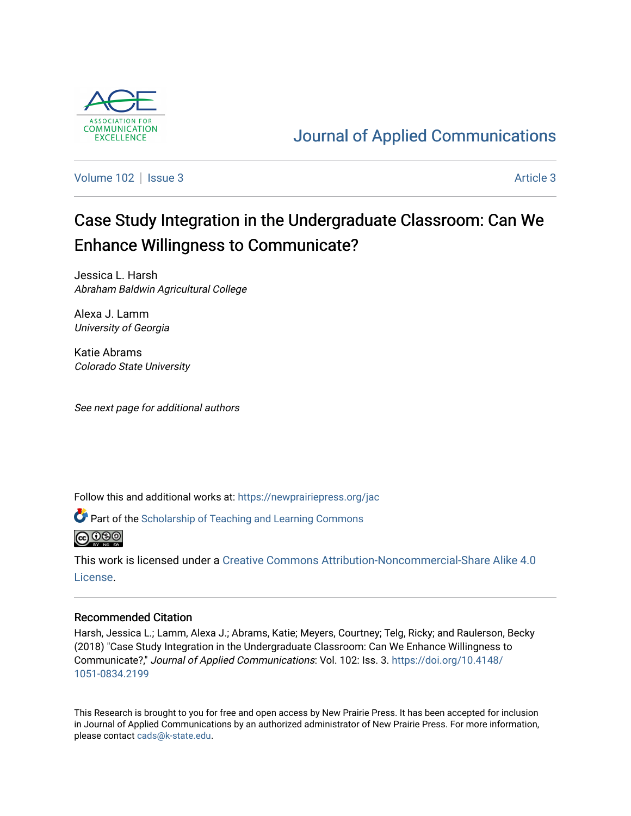

## [Journal of Applied Communications](https://newprairiepress.org/jac)

[Volume 102](https://newprairiepress.org/jac/vol102) | [Issue 3](https://newprairiepress.org/jac/vol102/iss3) Article 3

# Case Study Integration in the Undergraduate Classroom: Can We Enhance Willingness to Communicate?

Jessica L. Harsh Abraham Baldwin Agricultural College

Alexa J. Lamm University of Georgia

Katie Abrams Colorado State University

See next page for additional authors

Follow this and additional works at: [https://newprairiepress.org/jac](https://newprairiepress.org/jac?utm_source=newprairiepress.org%2Fjac%2Fvol102%2Fiss3%2F3&utm_medium=PDF&utm_campaign=PDFCoverPages)

Part of the [Scholarship of Teaching and Learning Commons](http://network.bepress.com/hgg/discipline/1328?utm_source=newprairiepress.org%2Fjac%2Fvol102%2Fiss3%2F3&utm_medium=PDF&utm_campaign=PDFCoverPages) 



This work is licensed under a [Creative Commons Attribution-Noncommercial-Share Alike 4.0](https://creativecommons.org/licenses/by-nc-sa/4.0/) [License.](https://creativecommons.org/licenses/by-nc-sa/4.0/)

## Recommended Citation

Harsh, Jessica L.; Lamm, Alexa J.; Abrams, Katie; Meyers, Courtney; Telg, Ricky; and Raulerson, Becky (2018) "Case Study Integration in the Undergraduate Classroom: Can We Enhance Willingness to Communicate?," Journal of Applied Communications: Vol. 102: Iss. 3. [https://doi.org/10.4148/](https://doi.org/10.4148/1051-0834.2199) [1051-0834.2199](https://doi.org/10.4148/1051-0834.2199) 

This Research is brought to you for free and open access by New Prairie Press. It has been accepted for inclusion in Journal of Applied Communications by an authorized administrator of New Prairie Press. For more information, please contact [cads@k-state.edu.](mailto:cads@k-state.edu)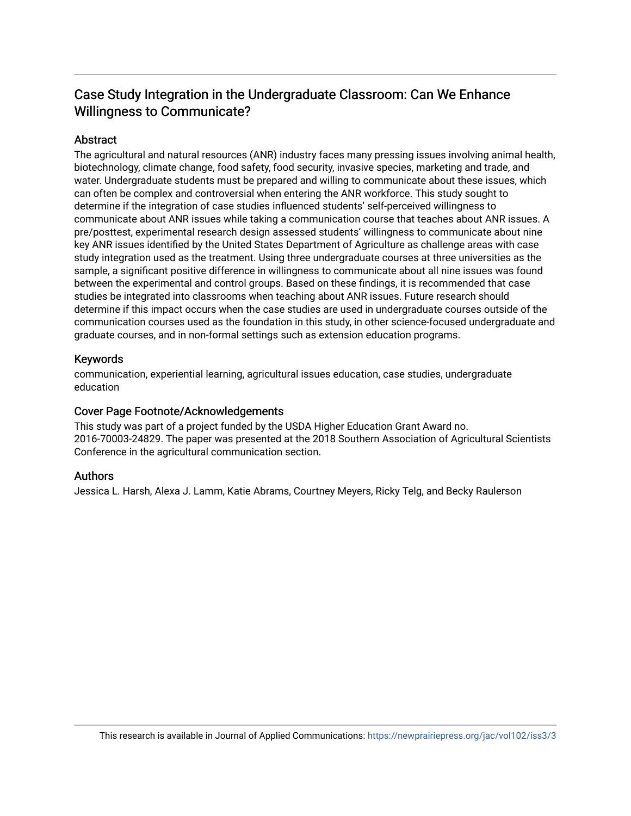## Case Study Integration in the Undergraduate Classroom: Can We Enhance Willingness to Communicate?

## Abstract

The agricultural and natural resources (ANR) industry faces many pressing issues involving animal health, biotechnology, climate change, food safety, food security, invasive species, marketing and trade, and water. Undergraduate students must be prepared and willing to communicate about these issues, which can often be complex and controversial when entering the ANR workforce. This study sought to determine if the integration of case studies influenced students' self-perceived willingness to communicate about ANR issues while taking a communication course that teaches about ANR issues. A pre/posttest, experimental research design assessed students' willingness to communicate about nine key ANR issues identified by the United States Department of Agriculture as challenge areas with case study integration used as the treatment. Using three undergraduate courses at three universities as the sample, a significant positive difference in willingness to communicate about all nine issues was found between the experimental and control groups. Based on these findings, it is recommended that case studies be integrated into classrooms when teaching about ANR issues. Future research should determine if this impact occurs when the case studies are used in undergraduate courses outside of the communication courses used as the foundation in this study, in other science-focused undergraduate and graduate courses, and in non-formal settings such as extension education programs.

## Keywords

communication, experiential learning, agricultural issues education, case studies, undergraduate education

## Cover Page Footnote/Acknowledgements

This study was part of a project funded by the USDA Higher Education Grant Award no. 2016-70003-24829. The paper was presented at the 2018 Southern Association of Agricultural Scientists Conference in the agricultural communication section.

## Authors

Jessica L. Harsh, Alexa J. Lamm, Katie Abrams, Courtney Meyers, Ricky Telg, and Becky Raulerson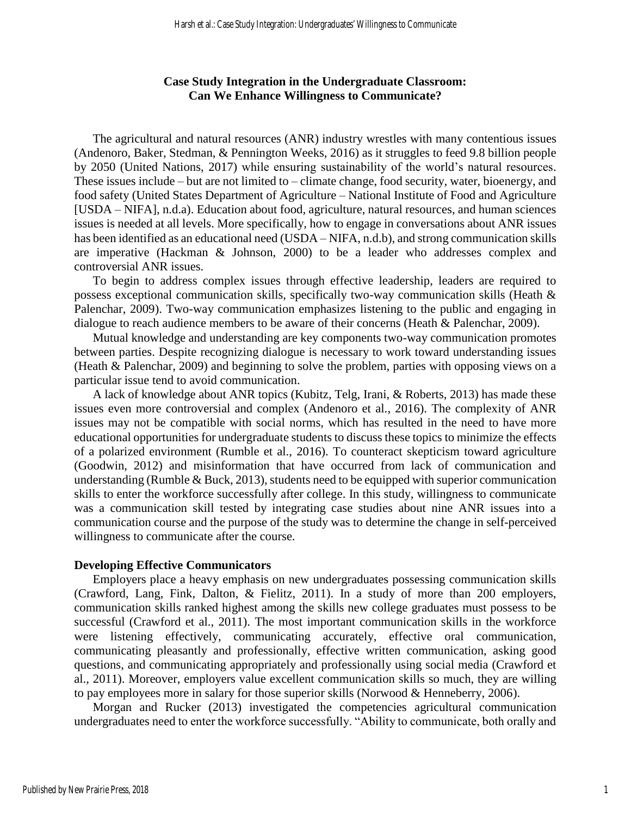## **Case Study Integration in the Undergraduate Classroom: Can We Enhance Willingness to Communicate?**

The agricultural and natural resources (ANR) industry wrestles with many contentious issues (Andenoro, Baker, Stedman, & Pennington Weeks, 2016) as it struggles to feed 9.8 billion people by 2050 (United Nations, 2017) while ensuring sustainability of the world's natural resources. These issues include – but are not limited to – climate change, food security, water, bioenergy, and food safety (United States Department of Agriculture – National Institute of Food and Agriculture [USDA – NIFA], n.d.a). Education about food, agriculture, natural resources, and human sciences issues is needed at all levels. More specifically, how to engage in conversations about ANR issues has been identified as an educational need (USDA – NIFA, n.d.b), and strong communication skills are imperative (Hackman & Johnson, 2000) to be a leader who addresses complex and controversial ANR issues.

To begin to address complex issues through effective leadership, leaders are required to possess exceptional communication skills, specifically two-way communication skills (Heath & Palenchar, 2009). Two-way communication emphasizes listening to the public and engaging in dialogue to reach audience members to be aware of their concerns (Heath & Palenchar, 2009).

Mutual knowledge and understanding are key components two-way communication promotes between parties. Despite recognizing dialogue is necessary to work toward understanding issues (Heath & Palenchar, 2009) and beginning to solve the problem, parties with opposing views on a particular issue tend to avoid communication.

A lack of knowledge about ANR topics (Kubitz, Telg, Irani, & Roberts, 2013) has made these issues even more controversial and complex (Andenoro et al., 2016). The complexity of ANR issues may not be compatible with social norms, which has resulted in the need to have more educational opportunities for undergraduate students to discuss these topics to minimize the effects of a polarized environment (Rumble et al., 2016). To counteract skepticism toward agriculture (Goodwin, 2012) and misinformation that have occurred from lack of communication and understanding (Rumble & Buck, 2013), students need to be equipped with superior communication skills to enter the workforce successfully after college. In this study, willingness to communicate was a communication skill tested by integrating case studies about nine ANR issues into a communication course and the purpose of the study was to determine the change in self-perceived willingness to communicate after the course.

#### **Developing Effective Communicators**

Employers place a heavy emphasis on new undergraduates possessing communication skills (Crawford, Lang, Fink, Dalton, & Fielitz, 2011). In a study of more than 200 employers, communication skills ranked highest among the skills new college graduates must possess to be successful (Crawford et al., 2011). The most important communication skills in the workforce were listening effectively, communicating accurately, effective oral communication, communicating pleasantly and professionally, effective written communication, asking good questions, and communicating appropriately and professionally using social media (Crawford et al., 2011). Moreover, employers value excellent communication skills so much, they are willing to pay employees more in salary for those superior skills (Norwood & Henneberry, 2006).

Morgan and Rucker (2013) investigated the competencies agricultural communication undergraduates need to enter the workforce successfully. "Ability to communicate, both orally and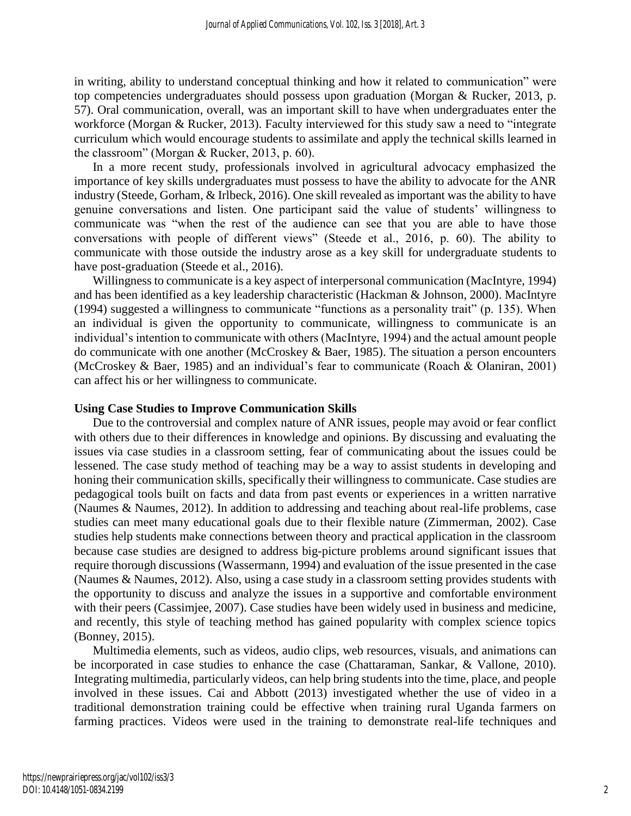in writing, ability to understand conceptual thinking and how it related to communication" were top competencies undergraduates should possess upon graduation (Morgan & Rucker, 2013, p. 57). Oral communication, overall, was an important skill to have when undergraduates enter the workforce (Morgan & Rucker, 2013). Faculty interviewed for this study saw a need to "integrate curriculum which would encourage students to assimilate and apply the technical skills learned in the classroom" (Morgan & Rucker, 2013, p. 60).

In a more recent study, professionals involved in agricultural advocacy emphasized the importance of key skills undergraduates must possess to have the ability to advocate for the ANR industry (Steede, Gorham, & Irlbeck, 2016). One skill revealed as important was the ability to have genuine conversations and listen. One participant said the value of students' willingness to communicate was "when the rest of the audience can see that you are able to have those conversations with people of different views" (Steede et al., 2016, p. 60). The ability to communicate with those outside the industry arose as a key skill for undergraduate students to have post-graduation (Steede et al., 2016).

Willingness to communicate is a key aspect of interpersonal communication (MacIntyre, 1994) and has been identified as a key leadership characteristic (Hackman & Johnson, 2000). MacIntyre (1994) suggested a willingness to communicate "functions as a personality trait" (p. 135). When an individual is given the opportunity to communicate, willingness to communicate is an individual's intention to communicate with others (MacIntyre, 1994) and the actual amount people do communicate with one another (McCroskey & Baer, 1985). The situation a person encounters (McCroskey & Baer, 1985) and an individual's fear to communicate (Roach & Olaniran, 2001) can affect his or her willingness to communicate.

#### **Using Case Studies to Improve Communication Skills**

Due to the controversial and complex nature of ANR issues, people may avoid or fear conflict with others due to their differences in knowledge and opinions. By discussing and evaluating the issues via case studies in a classroom setting, fear of communicating about the issues could be lessened. The case study method of teaching may be a way to assist students in developing and honing their communication skills, specifically their willingness to communicate. Case studies are pedagogical tools built on facts and data from past events or experiences in a written narrative (Naumes & Naumes, 2012). In addition to addressing and teaching about real-life problems, case studies can meet many educational goals due to their flexible nature (Zimmerman, 2002). Case studies help students make connections between theory and practical application in the classroom because case studies are designed to address big-picture problems around significant issues that require thorough discussions (Wassermann, 1994) and evaluation of the issue presented in the case (Naumes & Naumes, 2012). Also, using a case study in a classroom setting provides students with the opportunity to discuss and analyze the issues in a supportive and comfortable environment with their peers (Cassimjee, 2007). Case studies have been widely used in business and medicine, and recently, this style of teaching method has gained popularity with complex science topics (Bonney, 2015).

Multimedia elements, such as videos, audio clips, web resources, visuals, and animations can be incorporated in case studies to enhance the case (Chattaraman, Sankar, & Vallone, 2010). Integrating multimedia, particularly videos, can help bring students into the time, place, and people involved in these issues. Cai and Abbott (2013) investigated whether the use of video in a traditional demonstration training could be effective when training rural Uganda farmers on farming practices. Videos were used in the training to demonstrate real-life techniques and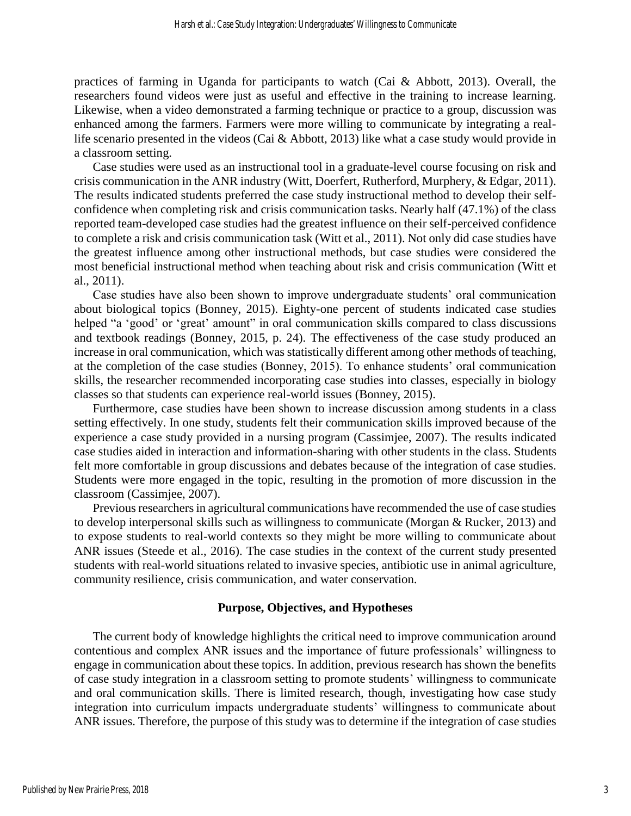practices of farming in Uganda for participants to watch (Cai & Abbott, 2013). Overall, the researchers found videos were just as useful and effective in the training to increase learning. Likewise, when a video demonstrated a farming technique or practice to a group, discussion was enhanced among the farmers. Farmers were more willing to communicate by integrating a reallife scenario presented in the videos (Cai & Abbott, 2013) like what a case study would provide in a classroom setting.

Case studies were used as an instructional tool in a graduate-level course focusing on risk and crisis communication in the ANR industry (Witt, Doerfert, Rutherford, Murphery, & Edgar, 2011). The results indicated students preferred the case study instructional method to develop their selfconfidence when completing risk and crisis communication tasks. Nearly half (47.1%) of the class reported team-developed case studies had the greatest influence on their self-perceived confidence to complete a risk and crisis communication task (Witt et al., 2011). Not only did case studies have the greatest influence among other instructional methods, but case studies were considered the most beneficial instructional method when teaching about risk and crisis communication (Witt et al., 2011).

Case studies have also been shown to improve undergraduate students' oral communication about biological topics (Bonney, 2015). Eighty-one percent of students indicated case studies helped "a 'good' or 'great' amount" in oral communication skills compared to class discussions and textbook readings (Bonney, 2015, p. 24). The effectiveness of the case study produced an increase in oral communication, which was statistically different among other methods of teaching, at the completion of the case studies (Bonney, 2015). To enhance students' oral communication skills, the researcher recommended incorporating case studies into classes, especially in biology classes so that students can experience real-world issues (Bonney, 2015).

Furthermore, case studies have been shown to increase discussion among students in a class setting effectively. In one study, students felt their communication skills improved because of the experience a case study provided in a nursing program (Cassimjee, 2007). The results indicated case studies aided in interaction and information-sharing with other students in the class. Students felt more comfortable in group discussions and debates because of the integration of case studies. Students were more engaged in the topic, resulting in the promotion of more discussion in the classroom (Cassimjee, 2007).

Previous researchers in agricultural communications have recommended the use of case studies to develop interpersonal skills such as willingness to communicate (Morgan & Rucker, 2013) and to expose students to real-world contexts so they might be more willing to communicate about ANR issues (Steede et al., 2016). The case studies in the context of the current study presented students with real-world situations related to invasive species, antibiotic use in animal agriculture, community resilience, crisis communication, and water conservation.

## **Purpose, Objectives, and Hypotheses**

The current body of knowledge highlights the critical need to improve communication around contentious and complex ANR issues and the importance of future professionals' willingness to engage in communication about these topics. In addition, previous research has shown the benefits of case study integration in a classroom setting to promote students' willingness to communicate and oral communication skills. There is limited research, though, investigating how case study integration into curriculum impacts undergraduate students' willingness to communicate about ANR issues. Therefore, the purpose of this study was to determine if the integration of case studies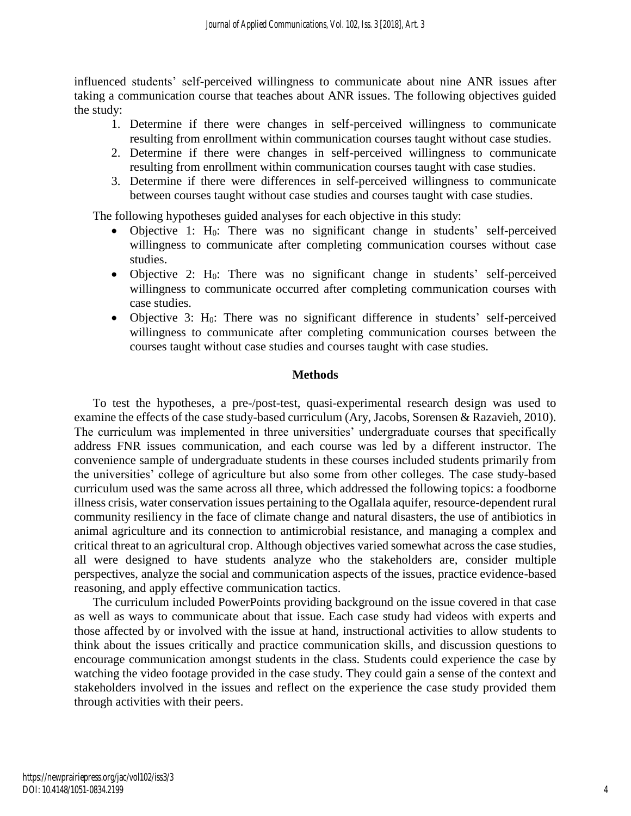influenced students' self-perceived willingness to communicate about nine ANR issues after taking a communication course that teaches about ANR issues. The following objectives guided the study:

- 1. Determine if there were changes in self-perceived willingness to communicate resulting from enrollment within communication courses taught without case studies.
- 2. Determine if there were changes in self-perceived willingness to communicate resulting from enrollment within communication courses taught with case studies.
- 3. Determine if there were differences in self-perceived willingness to communicate between courses taught without case studies and courses taught with case studies.

The following hypotheses guided analyses for each objective in this study:

- Objective 1: H0: There was no significant change in students' self-perceived willingness to communicate after completing communication courses without case studies.
- Objective 2: H<sub>0</sub>: There was no significant change in students' self-perceived willingness to communicate occurred after completing communication courses with case studies.
- Objective 3:  $H_0$ : There was no significant difference in students' self-perceived willingness to communicate after completing communication courses between the courses taught without case studies and courses taught with case studies.

## **Methods**

To test the hypotheses, a pre-/post-test, quasi-experimental research design was used to examine the effects of the case study-based curriculum (Ary, Jacobs, Sorensen & Razavieh, 2010). The curriculum was implemented in three universities' undergraduate courses that specifically address FNR issues communication, and each course was led by a different instructor. The convenience sample of undergraduate students in these courses included students primarily from the universities' college of agriculture but also some from other colleges. The case study-based curriculum used was the same across all three, which addressed the following topics: a foodborne illness crisis, water conservation issues pertaining to the Ogallala aquifer, resource-dependent rural community resiliency in the face of climate change and natural disasters, the use of antibiotics in animal agriculture and its connection to antimicrobial resistance, and managing a complex and critical threat to an agricultural crop. Although objectives varied somewhat across the case studies, all were designed to have students analyze who the stakeholders are, consider multiple perspectives, analyze the social and communication aspects of the issues, practice evidence-based reasoning, and apply effective communication tactics.

The curriculum included PowerPoints providing background on the issue covered in that case as well as ways to communicate about that issue. Each case study had videos with experts and those affected by or involved with the issue at hand, instructional activities to allow students to think about the issues critically and practice communication skills, and discussion questions to encourage communication amongst students in the class. Students could experience the case by watching the video footage provided in the case study. They could gain a sense of the context and stakeholders involved in the issues and reflect on the experience the case study provided them through activities with their peers.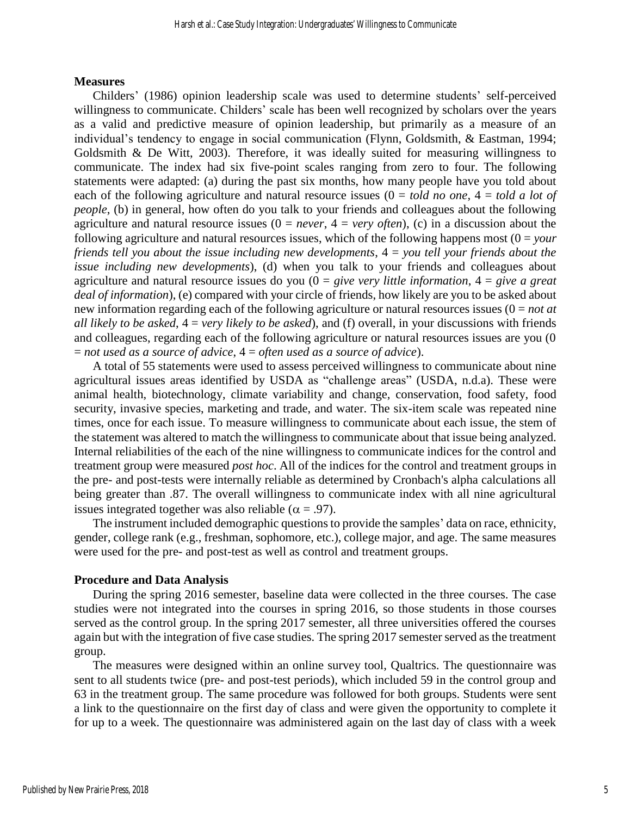#### **Measures**

Childers' (1986) opinion leadership scale was used to determine students' self-perceived willingness to communicate. Childers' scale has been well recognized by scholars over the years as a valid and predictive measure of opinion leadership, but primarily as a measure of an individual's tendency to engage in social communication (Flynn, Goldsmith, & Eastman, 1994; Goldsmith  $\&$  De Witt, 2003). Therefore, it was ideally suited for measuring willingness to communicate. The index had six five-point scales ranging from zero to four. The following statements were adapted: (a) during the past six months, how many people have you told about each of the following agriculture and natural resource issues (0 = *told no one*, 4 = *told a lot of people*, (b) in general, how often do you talk to your friends and colleagues about the following agriculture and natural resource issues  $(0 = never, 4 = very often)$ , (c) in a discussion about the following agriculture and natural resources issues, which of the following happens most  $(0 = your$ *friends tell you about the issue including new developments*, 4 = *you tell your friends about the issue including new developments*), (d) when you talk to your friends and colleagues about agriculture and natural resource issues do you (0 = *give very little information*, 4 = *give a great deal of information*), (e) compared with your circle of friends, how likely are you to be asked about new information regarding each of the following agriculture or natural resources issues (0 = *not at all likely to be asked*, 4 = *very likely to be asked*), and (f) overall, in your discussions with friends and colleagues, regarding each of the following agriculture or natural resources issues are you (0 = *not used as a source of advice*, 4 = *often used as a source of advice*).

A total of 55 statements were used to assess perceived willingness to communicate about nine agricultural issues areas identified by USDA as "challenge areas" (USDA, n.d.a). These were animal health, biotechnology, climate variability and change, conservation, food safety, food security, invasive species, marketing and trade, and water. The six-item scale was repeated nine times, once for each issue. To measure willingness to communicate about each issue, the stem of the statement was altered to match the willingness to communicate about that issue being analyzed. Internal reliabilities of the each of the nine willingness to communicate indices for the control and treatment group were measured *post hoc*. All of the indices for the control and treatment groups in the pre- and post-tests were internally reliable as determined by Cronbach's alpha calculations all being greater than .87. The overall willingness to communicate index with all nine agricultural issues integrated together was also reliable ( $\alpha = .97$ ).

The instrument included demographic questions to provide the samples' data on race, ethnicity, gender, college rank (e.g., freshman, sophomore, etc.), college major, and age. The same measures were used for the pre- and post-test as well as control and treatment groups.

## **Procedure and Data Analysis**

During the spring 2016 semester, baseline data were collected in the three courses. The case studies were not integrated into the courses in spring 2016, so those students in those courses served as the control group. In the spring 2017 semester, all three universities offered the courses again but with the integration of five case studies. The spring 2017 semester served as the treatment group.

The measures were designed within an online survey tool, Qualtrics. The questionnaire was sent to all students twice (pre- and post-test periods), which included 59 in the control group and 63 in the treatment group. The same procedure was followed for both groups. Students were sent a link to the questionnaire on the first day of class and were given the opportunity to complete it for up to a week. The questionnaire was administered again on the last day of class with a week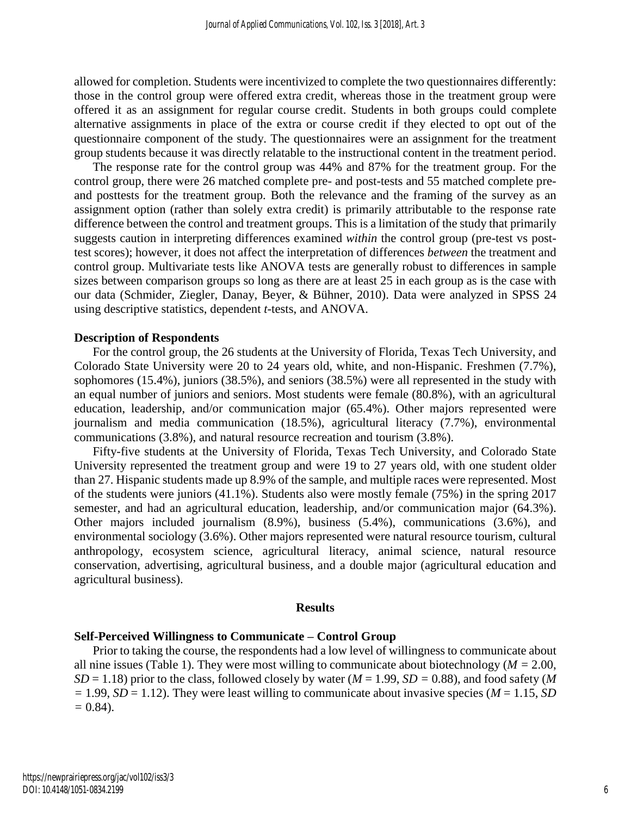allowed for completion. Students were incentivized to complete the two questionnaires differently: those in the control group were offered extra credit, whereas those in the treatment group were offered it as an assignment for regular course credit. Students in both groups could complete alternative assignments in place of the extra or course credit if they elected to opt out of the questionnaire component of the study. The questionnaires were an assignment for the treatment group students because it was directly relatable to the instructional content in the treatment period.

The response rate for the control group was 44% and 87% for the treatment group. For the control group, there were 26 matched complete pre- and post-tests and 55 matched complete preand posttests for the treatment group. Both the relevance and the framing of the survey as an assignment option (rather than solely extra credit) is primarily attributable to the response rate difference between the control and treatment groups. This is a limitation of the study that primarily suggests caution in interpreting differences examined *within* the control group (pre-test vs posttest scores); however, it does not affect the interpretation of differences *between* the treatment and control group. Multivariate tests like ANOVA tests are generally robust to differences in sample sizes between comparison groups so long as there are at least 25 in each group as is the case with our data (Schmider, Ziegler, Danay, Beyer, & Bühner, 2010). Data were analyzed in SPSS 24 using descriptive statistics, dependent *t*-tests, and ANOVA.

#### **Description of Respondents**

For the control group, the 26 students at the University of Florida, Texas Tech University, and Colorado State University were 20 to 24 years old, white, and non-Hispanic. Freshmen (7.7%), sophomores (15.4%), juniors (38.5%), and seniors (38.5%) were all represented in the study with an equal number of juniors and seniors. Most students were female (80.8%), with an agricultural education, leadership, and/or communication major (65.4%). Other majors represented were journalism and media communication (18.5%), agricultural literacy (7.7%), environmental communications (3.8%), and natural resource recreation and tourism (3.8%).

Fifty-five students at the University of Florida, Texas Tech University, and Colorado State University represented the treatment group and were 19 to 27 years old, with one student older than 27. Hispanic students made up 8.9% of the sample, and multiple races were represented. Most of the students were juniors (41.1%). Students also were mostly female (75%) in the spring 2017 semester, and had an agricultural education, leadership, and/or communication major (64.3%). Other majors included journalism (8.9%), business (5.4%), communications (3.6%), and environmental sociology (3.6%). Other majors represented were natural resource tourism, cultural anthropology, ecosystem science, agricultural literacy, animal science, natural resource conservation, advertising, agricultural business, and a double major (agricultural education and agricultural business).

#### **Results**

### **Self-Perceived Willingness to Communicate – Control Group**

Prior to taking the course, the respondents had a low level of willingness to communicate about all nine issues (Table 1). They were most willing to communicate about biotechnology (*M =* 2.00,  $SD = 1.18$ ) prior to the class, followed closely by water ( $M = 1.99$ ,  $SD = 0.88$ ), and food safety (*M*  $= 1.99$ , *SD* = 1.12). They were least willing to communicate about invasive species (*M* = 1.15, *SD =* 0.84).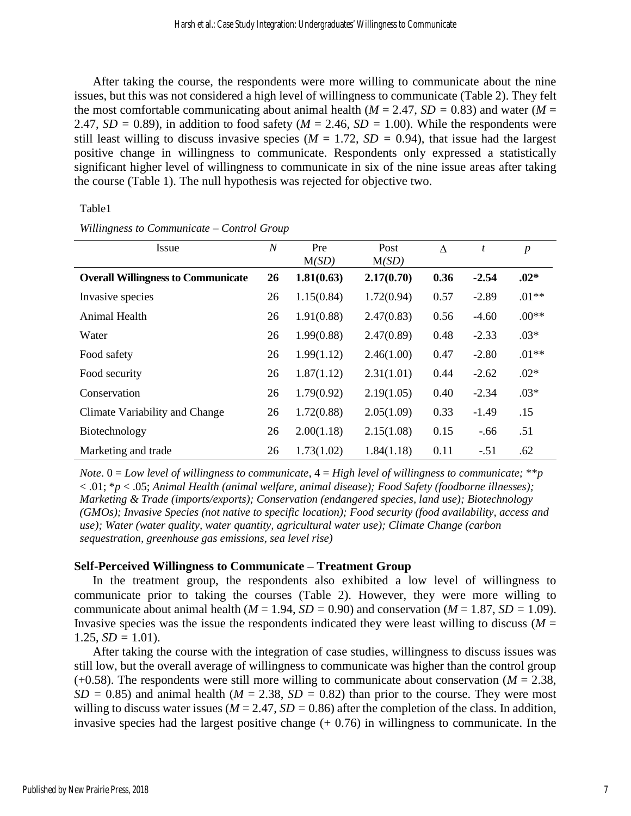After taking the course, the respondents were more willing to communicate about the nine issues, but this was not considered a high level of willingness to communicate (Table 2). They felt the most comfortable communicating about animal health ( $M = 2.47$ ,  $SD = 0.83$ ) and water ( $M =$ 2.47,  $SD = 0.89$ ), in addition to food safety ( $M = 2.46$ ,  $SD = 1.00$ ). While the respondents were still least willing to discuss invasive species ( $M = 1.72$ ,  $SD = 0.94$ ), that issue had the largest positive change in willingness to communicate. Respondents only expressed a statistically significant higher level of willingness to communicate in six of the nine issue areas after taking the course (Table 1). The null hypothesis was rejected for objective two.

#### Table1

| Issue                                     | $\overline{N}$ | Pre<br>M(SD) | Post<br>M(SD) | $\Lambda$ | t       | $\boldsymbol{p}$ |
|-------------------------------------------|----------------|--------------|---------------|-----------|---------|------------------|
| <b>Overall Willingness to Communicate</b> | 26             | 1.81(0.63)   | 2.17(0.70)    | 0.36      | $-2.54$ | $.02*$           |
| Invasive species                          | 26             | 1.15(0.84)   | 1.72(0.94)    | 0.57      | $-2.89$ | $.01**$          |
| Animal Health                             | 26             | 1.91(0.88)   | 2.47(0.83)    | 0.56      | $-4.60$ | $.00**$          |
| Water                                     | 26             | 1.99(0.88)   | 2.47(0.89)    | 0.48      | $-2.33$ | $.03*$           |
| Food safety                               | 26             | 1.99(1.12)   | 2.46(1.00)    | 0.47      | $-2.80$ | $.01**$          |
| Food security                             | 26             | 1.87(1.12)   | 2.31(1.01)    | 0.44      | $-2.62$ | $.02*$           |
| Conservation                              | 26             | 1.79(0.92)   | 2.19(1.05)    | 0.40      | $-2.34$ | $.03*$           |
| Climate Variability and Change            | 26             | 1.72(0.88)   | 2.05(1.09)    | 0.33      | $-1.49$ | .15              |
| Biotechnology                             | 26             | 2.00(1.18)   | 2.15(1.08)    | 0.15      | $-.66$  | .51              |
| Marketing and trade                       | 26             | 1.73(1.02)   | 1.84(1.18)    | 0.11      | $-.51$  | .62              |

*Willingness to Communicate – Control Group*

*Note*. 0 = *Low level of willingness to communicate*, 4 = *High level of willingness to communicate;* \*\**p* < .01; \**p* < .05; *Animal Health (animal welfare, animal disease); Food Safety (foodborne illnesses); Marketing & Trade (imports/exports); Conservation (endangered species, land use); Biotechnology (GMOs); Invasive Species (not native to specific location); Food security (food availability, access and use); Water (water quality, water quantity, agricultural water use); Climate Change (carbon sequestration, greenhouse gas emissions, sea level rise)*

## **Self-Perceived Willingness to Communicate – Treatment Group**

In the treatment group, the respondents also exhibited a low level of willingness to communicate prior to taking the courses (Table 2). However, they were more willing to communicate about animal health ( $M = 1.94$ ,  $SD = 0.90$ ) and conservation ( $M = 1.87$ ,  $SD = 1.09$ ). Invasive species was the issue the respondents indicated they were least willing to discuss ( $M =$ 1.25,  $SD = 1.01$ ).

After taking the course with the integration of case studies, willingness to discuss issues was still low, but the overall average of willingness to communicate was higher than the control group  $(+0.58)$ . The respondents were still more willing to communicate about conservation ( $M = 2.38$ ,  $SD = 0.85$ ) and animal health ( $M = 2.38$ ,  $SD = 0.82$ ) than prior to the course. They were most willing to discuss water issues ( $M = 2.47$ ,  $SD = 0.86$ ) after the completion of the class. In addition, invasive species had the largest positive change  $(+ 0.76)$  in willingness to communicate. In the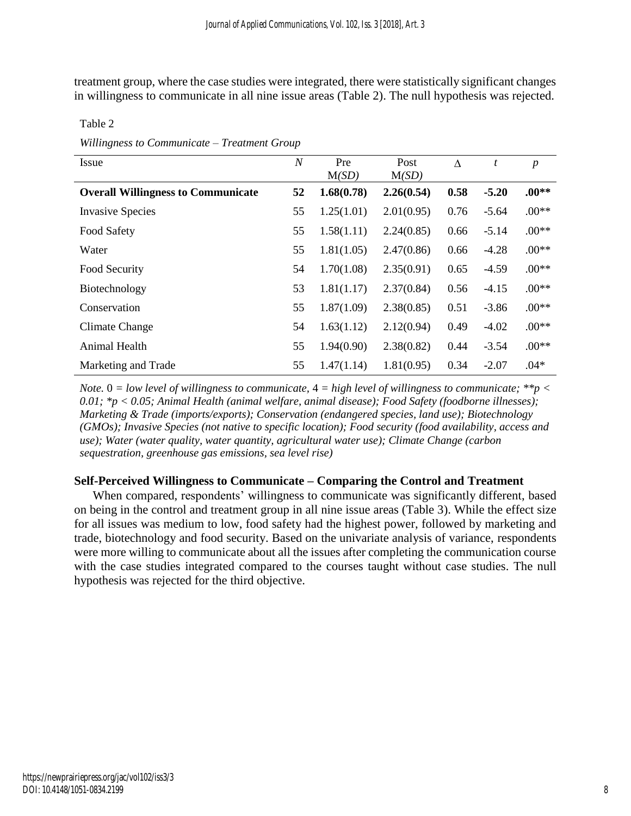treatment group, where the case studies were integrated, there were statistically significant changes in willingness to communicate in all nine issue areas (Table 2). The null hypothesis was rejected.

| Issue                                     | $\boldsymbol{N}$ | Pre<br>M(SD) | Post<br>M(SD) | $\Lambda$ | t       | $\boldsymbol{p}$ |
|-------------------------------------------|------------------|--------------|---------------|-----------|---------|------------------|
| <b>Overall Willingness to Communicate</b> | 52               | 1.68(0.78)   | 2.26(0.54)    | 0.58      | $-5.20$ | $.00**$          |
| <b>Invasive Species</b>                   | 55               | 1.25(1.01)   | 2.01(0.95)    | 0.76      | $-5.64$ | $.00**$          |
| Food Safety                               | 55               | 1.58(1.11)   | 2.24(0.85)    | 0.66      | $-5.14$ | $.00**$          |
| Water                                     | 55               | 1.81(1.05)   | 2.47(0.86)    | 0.66      | $-4.28$ | $.00**$          |
| Food Security                             | 54               | 1.70(1.08)   | 2.35(0.91)    | 0.65      | $-4.59$ | $.00**$          |
| Biotechnology                             | 53               | 1.81(1.17)   | 2.37(0.84)    | 0.56      | $-4.15$ | $.00**$          |
| Conservation                              | 55               | 1.87(1.09)   | 2.38(0.85)    | 0.51      | $-3.86$ | $.00**$          |
| Climate Change                            | 54               | 1.63(1.12)   | 2.12(0.94)    | 0.49      | $-4.02$ | $.00**$          |
| Animal Health                             | 55               | 1.94(0.90)   | 2.38(0.82)    | 0.44      | $-3.54$ | $.00**$          |
| Marketing and Trade                       | 55               | 1.47(1.14)   | 1.81(0.95)    | 0.34      | $-2.07$ | $.04*$           |

Table 2

*Willingness to Communicate – Treatment Group*

*Note.* 0 *= low level of willingness to communicate,* 4 *= high level of willingness to communicate; \*\*p < 0.01; \*p < 0.05; Animal Health (animal welfare, animal disease); Food Safety (foodborne illnesses); Marketing & Trade (imports/exports); Conservation (endangered species, land use); Biotechnology (GMOs); Invasive Species (not native to specific location); Food security (food availability, access and use); Water (water quality, water quantity, agricultural water use); Climate Change (carbon sequestration, greenhouse gas emissions, sea level rise)*

## **Self-Perceived Willingness to Communicate – Comparing the Control and Treatment**

When compared, respondents' willingness to communicate was significantly different, based on being in the control and treatment group in all nine issue areas (Table 3). While the effect size for all issues was medium to low, food safety had the highest power, followed by marketing and trade, biotechnology and food security. Based on the univariate analysis of variance, respondents were more willing to communicate about all the issues after completing the communication course with the case studies integrated compared to the courses taught without case studies. The null hypothesis was rejected for the third objective.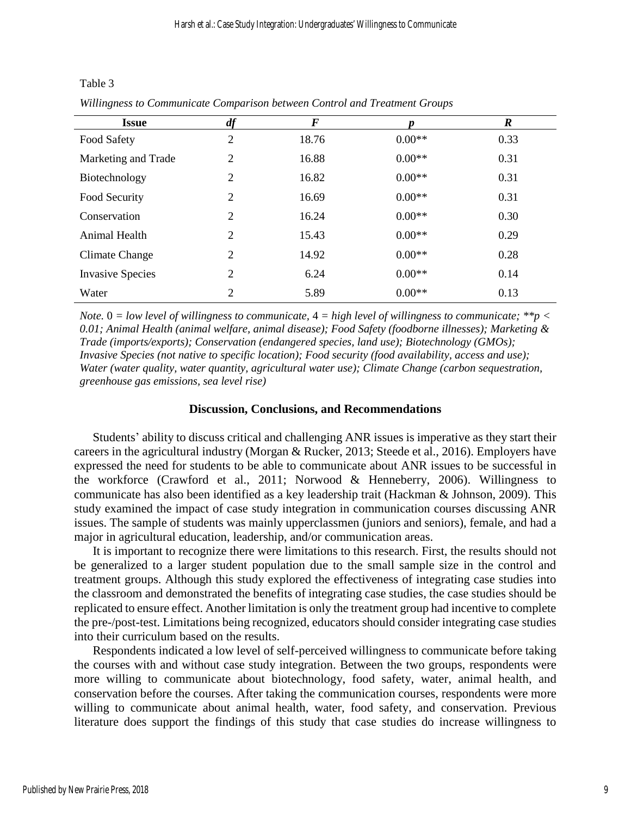Table 3

| Willingness to Communicate Comparison between Control and Treatment Groups |  |  |  |  |
|----------------------------------------------------------------------------|--|--|--|--|
|                                                                            |  |  |  |  |

| <b>Issue</b>            | df             | F     |          | $\boldsymbol{R}$ |
|-------------------------|----------------|-------|----------|------------------|
| Food Safety             | 2              | 18.76 | $0.00**$ | 0.33             |
| Marketing and Trade     | $\overline{2}$ | 16.88 | $0.00**$ | 0.31             |
| Biotechnology           | $\overline{2}$ | 16.82 | $0.00**$ | 0.31             |
| Food Security           | $\overline{2}$ | 16.69 | $0.00**$ | 0.31             |
| Conservation            | $\overline{2}$ | 16.24 | $0.00**$ | 0.30             |
| Animal Health           | $\overline{2}$ | 15.43 | $0.00**$ | 0.29             |
| Climate Change          | 2              | 14.92 | $0.00**$ | 0.28             |
| <b>Invasive Species</b> | $\overline{2}$ | 6.24  | $0.00**$ | 0.14             |
| Water                   | 2              | 5.89  | $0.00**$ | 0.13             |

*Note.* 0 *= low level of willingness to communicate,* 4 *= high level of willingness to communicate; \*\*p < 0.01; Animal Health (animal welfare, animal disease); Food Safety (foodborne illnesses); Marketing & Trade (imports/exports); Conservation (endangered species, land use); Biotechnology (GMOs); Invasive Species (not native to specific location); Food security (food availability, access and use); Water (water quality, water quantity, agricultural water use); Climate Change (carbon sequestration, greenhouse gas emissions, sea level rise)*

### **Discussion, Conclusions, and Recommendations**

Students' ability to discuss critical and challenging ANR issues is imperative as they start their careers in the agricultural industry (Morgan & Rucker, 2013; Steede et al., 2016). Employers have expressed the need for students to be able to communicate about ANR issues to be successful in the workforce (Crawford et al., 2011; Norwood & Henneberry, 2006). Willingness to communicate has also been identified as a key leadership trait (Hackman & Johnson, 2009). This study examined the impact of case study integration in communication courses discussing ANR issues. The sample of students was mainly upperclassmen (juniors and seniors), female, and had a major in agricultural education, leadership, and/or communication areas.

It is important to recognize there were limitations to this research. First, the results should not be generalized to a larger student population due to the small sample size in the control and treatment groups. Although this study explored the effectiveness of integrating case studies into the classroom and demonstrated the benefits of integrating case studies, the case studies should be replicated to ensure effect. Another limitation is only the treatment group had incentive to complete the pre-/post-test. Limitations being recognized, educators should consider integrating case studies into their curriculum based on the results.

Respondents indicated a low level of self-perceived willingness to communicate before taking the courses with and without case study integration. Between the two groups, respondents were more willing to communicate about biotechnology, food safety, water, animal health, and conservation before the courses. After taking the communication courses, respondents were more willing to communicate about animal health, water, food safety, and conservation. Previous literature does support the findings of this study that case studies do increase willingness to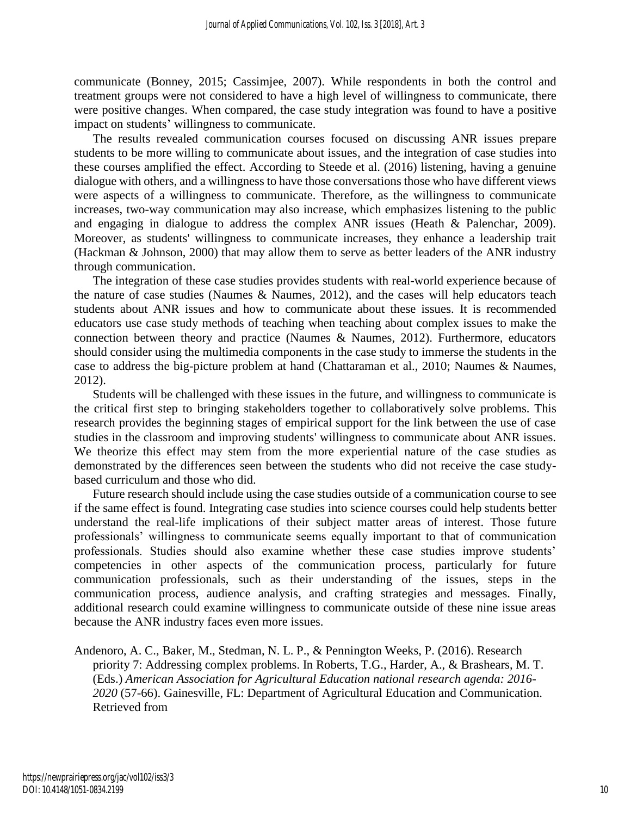communicate (Bonney, 2015; Cassimjee, 2007). While respondents in both the control and treatment groups were not considered to have a high level of willingness to communicate, there were positive changes. When compared, the case study integration was found to have a positive impact on students' willingness to communicate.

The results revealed communication courses focused on discussing ANR issues prepare students to be more willing to communicate about issues, and the integration of case studies into these courses amplified the effect. According to Steede et al. (2016) listening, having a genuine dialogue with others, and a willingness to have those conversations those who have different views were aspects of a willingness to communicate. Therefore, as the willingness to communicate increases, two-way communication may also increase, which emphasizes listening to the public and engaging in dialogue to address the complex ANR issues (Heath & Palenchar, 2009). Moreover, as students' willingness to communicate increases, they enhance a leadership trait (Hackman & Johnson, 2000) that may allow them to serve as better leaders of the ANR industry through communication.

The integration of these case studies provides students with real-world experience because of the nature of case studies (Naumes & Naumes, 2012), and the cases will help educators teach students about ANR issues and how to communicate about these issues. It is recommended educators use case study methods of teaching when teaching about complex issues to make the connection between theory and practice (Naumes & Naumes, 2012). Furthermore, educators should consider using the multimedia components in the case study to immerse the students in the case to address the big-picture problem at hand (Chattaraman et al., 2010; Naumes & Naumes, 2012).

Students will be challenged with these issues in the future, and willingness to communicate is the critical first step to bringing stakeholders together to collaboratively solve problems. This research provides the beginning stages of empirical support for the link between the use of case studies in the classroom and improving students' willingness to communicate about ANR issues. We theorize this effect may stem from the more experiential nature of the case studies as demonstrated by the differences seen between the students who did not receive the case studybased curriculum and those who did.

Future research should include using the case studies outside of a communication course to see if the same effect is found. Integrating case studies into science courses could help students better understand the real-life implications of their subject matter areas of interest. Those future professionals' willingness to communicate seems equally important to that of communication professionals. Studies should also examine whether these case studies improve students' competencies in other aspects of the communication process, particularly for future communication professionals, such as their understanding of the issues, steps in the communication process, audience analysis, and crafting strategies and messages. Finally, additional research could examine willingness to communicate outside of these nine issue areas because the ANR industry faces even more issues.

Andenoro, A. C., Baker, M., Stedman, N. L. P., & Pennington Weeks, P. (2016). Research priority 7: Addressing complex problems. In Roberts, T.G., Harder, A., & Brashears, M. T. (Eds.) *American Association for Agricultural Education national research agenda: 2016- 2020* (57-66). Gainesville, FL: Department of Agricultural Education and Communication. Retrieved from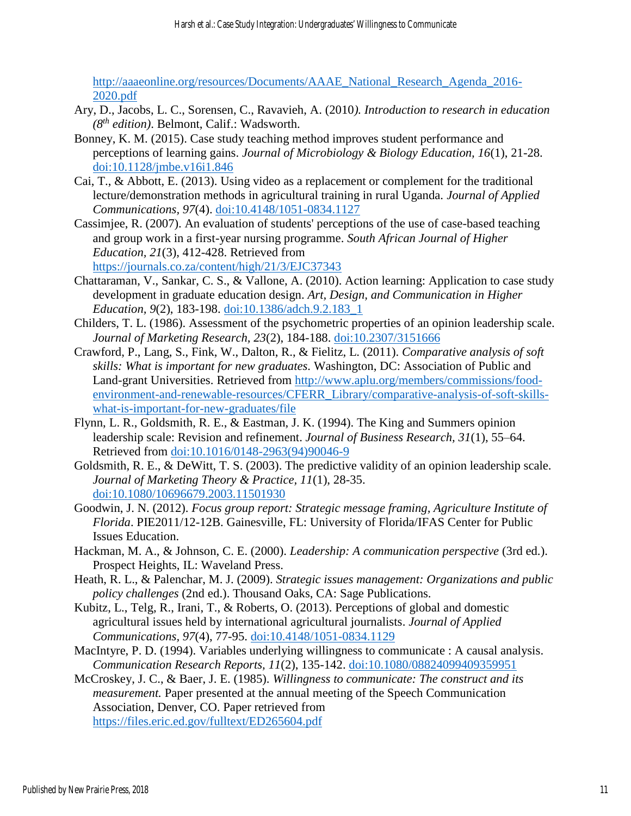[http://aaaeonline.org/resources/Documents/AAAE\\_National\\_Research\\_Agenda\\_2016-](http://aaaeonline.org/resources/Documents/AAAE_National_Research_Agenda_2016-2020.pdf) [2020.pdf](http://aaaeonline.org/resources/Documents/AAAE_National_Research_Agenda_2016-2020.pdf)

- Ary, D., Jacobs, L. C., Sorensen, C., Ravavieh, A. (2010*). Introduction to research in education (8th edition)*. Belmont, Calif.: Wadsworth.
- Bonney, K. M. (2015). Case study teaching method improves student performance and perceptions of learning gains. *Journal of Microbiology & Biology Education, 16*(1), 21-28. [doi:10.1128/jmbe.v16i1.846](http://dx.doi.org/10.1128/jmbe.v16i1.846)
- Cai, T., & Abbott, E. (2013). Using video as a replacement or complement for the traditional lecture/demonstration methods in agricultural training in rural Uganda. *Journal of Applied Communications, 97*(4). [doi:10.4148/1051-0834.1127](https://doi.org/10.4148/1051-0834.1127)
- Cassimjee, R. (2007). An evaluation of students' perceptions of the use of case-based teaching and group work in a first-year nursing programme. *South African Journal of Higher Education, 21*(3), 412-428. Retrieved from <https://journals.co.za/content/high/21/3/EJC37343>
- Chattaraman, V., Sankar, C. S., & Vallone, A. (2010). Action learning: Application to case study development in graduate education design. *Art, Design, and Communication in Higher Education, 9*(2), 183-198. [doi:10.1386/adch.9.2.183\\_1](https://doi.org/10.1386/adch.9.2.183_1)
- Childers, T. L. (1986). Assessment of the psychometric properties of an opinion leadership scale. *Journal of Marketing Research, 23*(2), 184-188. [doi:10.2307/3151666](https://www.jstor.org/stable/3151666?seq=1#page_scan_tab_contents)
- Crawford, P., Lang, S., Fink, W., Dalton, R., & Fielitz, L. (2011). *Comparative analysis of soft skills: What is important for new graduates.* Washington, DC: Association of Public and Land-grant Universities. Retrieved from [http://www.aplu.org/members/commissions/food](http://www.aplu.org/members/commissions/food-environment-and-renewable-resources/CFERR_Library/comparative-analysis-of-soft-skills-what-is-important-for-new-graduates/file)[environment-and-renewable-resources/CFERR\\_Library/comparative-analysis-of-soft-skills](http://www.aplu.org/members/commissions/food-environment-and-renewable-resources/CFERR_Library/comparative-analysis-of-soft-skills-what-is-important-for-new-graduates/file)[what-is-important-for-new-graduates/file](http://www.aplu.org/members/commissions/food-environment-and-renewable-resources/CFERR_Library/comparative-analysis-of-soft-skills-what-is-important-for-new-graduates/file)
- Flynn, L. R., Goldsmith, R. E., & Eastman, J. K. (1994). The King and Summers opinion leadership scale: Revision and refinement. *Journal of Business Research, 31*(1), 55–64. Retrieved from [doi:10.1016/0148-2963\(94\)90046-9](https://doi.org/10.1016/0148-2963(94)90046-9)
- Goldsmith, R. E., & DeWitt, T. S. (2003). The predictive validity of an opinion leadership scale. *Journal of Marketing Theory & Practice, 11*(1), 28-35. [doi:10.1080/10696679.2003.11501930](https://doi.org/10.1080/10696679.2003.11501930)
- Goodwin, J. N. (2012). *Focus group report: Strategic message framing, Agriculture Institute of Florida*. PIE2011/12-12B. Gainesville, FL: University of Florida/IFAS Center for Public Issues Education.
- Hackman, M. A., & Johnson, C. E. (2000). *Leadership: A communication perspective* (3rd ed.). Prospect Heights, IL: Waveland Press.
- Heath, R. L., & Palenchar, M. J. (2009). *Strategic issues management: Organizations and public policy challenges* (2nd ed.). Thousand Oaks, CA: Sage Publications.
- Kubitz, L., Telg, R., Irani, T., & Roberts, O. (2013). Perceptions of global and domestic agricultural issues held by international agricultural journalists. *Journal of Applied Communications, 97*(4), 77-95. [doi:10.4148/1051-0834.1129](https://doi.org/10.4148/1051-0834.1129)
- MacIntyre, P. D. (1994). Variables underlying willingness to communicate : A causal analysis. *Communication Research Reports, 11*(2), 135-142. [doi:10.1080/08824099409359951](https://doi.org/10.1080/08824099409359951q)
- McCroskey, J. C., & Baer, J. E. (1985). *Willingness to communicate: The construct and its measurement.* Paper presented at the annual meeting of the Speech Communication Association, Denver, CO. Paper retrieved from <https://files.eric.ed.gov/fulltext/ED265604.pdf>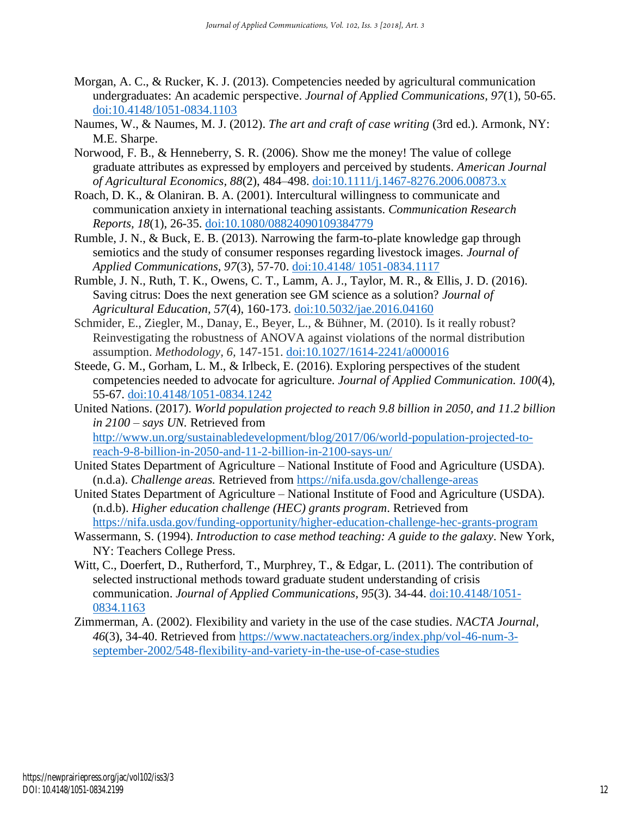- Morgan, A. C., & Rucker, K. J. (2013). Competencies needed by agricultural communication undergraduates: An academic perspective. *Journal of Applied Communications, 97*(1), 50-65. [doi:10.4148/1051-0834.1103](https://doi.org/10.4148/1051-0834.1103)
- Naumes, W., & Naumes, M. J. (2012). *The art and craft of case writing* (3rd ed.). Armonk, NY: M.E. Sharpe.
- Norwood, F. B., & Henneberry, S. R. (2006). Show me the money! The value of college graduate attributes as expressed by employers and perceived by students. *American Journal of Agricultural Economics, 88*(2), 484–498. [doi:10.1111/j.1467-8276.2006.00873.x](https://doi.org/10.1111/j.1467-8276.2006.00873.x)
- Roach, D. K., & Olaniran. B. A. (2001). Intercultural willingness to communicate and communication anxiety in international teaching assistants. *Communication Research Reports, 18*(1), 26-35. [doi:10.1080/08824090109384779](https://doi.org/10.1080/08824090109384779)
- Rumble, J. N., & Buck, E. B. (2013). Narrowing the farm-to-plate knowledge gap through semiotics and the study of consumer responses regarding livestock images. *Journal of Applied Communications, 97*(3), 57-70. [doi:10.4148/ 1051-0834.1117](https://doi.org/10.4148/%201051-0834.1117)
- Rumble, J. N., Ruth, T. K., Owens, C. T., Lamm, A. J., Taylor, M. R., & Ellis, J. D. (2016). Saving citrus: Does the next generation see GM science as a solution? *Journal of Agricultural Education, 57*(4), 160-173. [doi:10.5032/jae.2016.04160](https://doi.org/10.5032/jae.2016.04160)
- Schmider, E., Ziegler, M., Danay, E., Beyer, L., & Bühner, M. (2010). Is it really robust? Reinvestigating the robustness of ANOVA against violations of the normal distribution assumption. *Methodology, 6,* 147-151. [doi:10.1027/1614-2241/a000016](https://doi.org/10.1027/1614-2241/a000016)
- Steede, G. M., Gorham, L. M., & Irlbeck, E. (2016). Exploring perspectives of the student competencies needed to advocate for agriculture. *Journal of Applied Communication. 100*(4), 55-67. [doi:10.4148/1051-0834.1242](https://doi.org/10.4148/1051-0834.1242)
- United Nations. (2017). *World population projected to reach 9.8 billion in 2050, and 11.2 billion in 2100 – says UN.* Retrieved from [http://www.un.org/sustainabledevelopment/blog/2017/06/world-population-projected-to](http://www.un.org/sustainabledevelopment/blog/2017/06/world-population-projected-to-reach-9-8-billion-in-2050-and-11-2-billion-in-2100-says-un/)[reach-9-8-billion-in-2050-and-11-2-billion-in-2100-says-un/](http://www.un.org/sustainabledevelopment/blog/2017/06/world-population-projected-to-reach-9-8-billion-in-2050-and-11-2-billion-in-2100-says-un/)
- United States Department of Agriculture National Institute of Food and Agriculture (USDA). (n.d.a). *Challenge areas.* Retrieved from<https://nifa.usda.gov/challenge-areas>
- United States Department of Agriculture National Institute of Food and Agriculture (USDA). (n.d.b). *Higher education challenge (HEC) grants program*. Retrieved from <https://nifa.usda.gov/funding-opportunity/higher-education-challenge-hec-grants-program>
- Wassermann, S. (1994). *Introduction to case method teaching: A guide to the galaxy*. New York, NY: Teachers College Press.
- Witt, C., Doerfert, D., Rutherford, T., Murphrey, T., & Edgar, L. (2011). The contribution of selected instructional methods toward graduate student understanding of crisis communication. *Journal of Applied Communications, 95*(3). 34-44. [doi:10.4148/1051-](https://doi.org/10.4148/1051-0834.1163) [0834.1163](https://doi.org/10.4148/1051-0834.1163)
- Zimmerman, A. (2002). Flexibility and variety in the use of the case studies. *NACTA Journal, 46*(3), 34-40. Retrieved from [https://www.nactateachers.org/index.php/vol-46-num-3](https://www.nactateachers.org/index.php/vol-46-num-3-september-2002/548-flexibility-and-variety-in-the-use-of-case-studies) [september-2002/548-flexibility-and-variety-in-the-use-of-case-studies](https://www.nactateachers.org/index.php/vol-46-num-3-september-2002/548-flexibility-and-variety-in-the-use-of-case-studies)